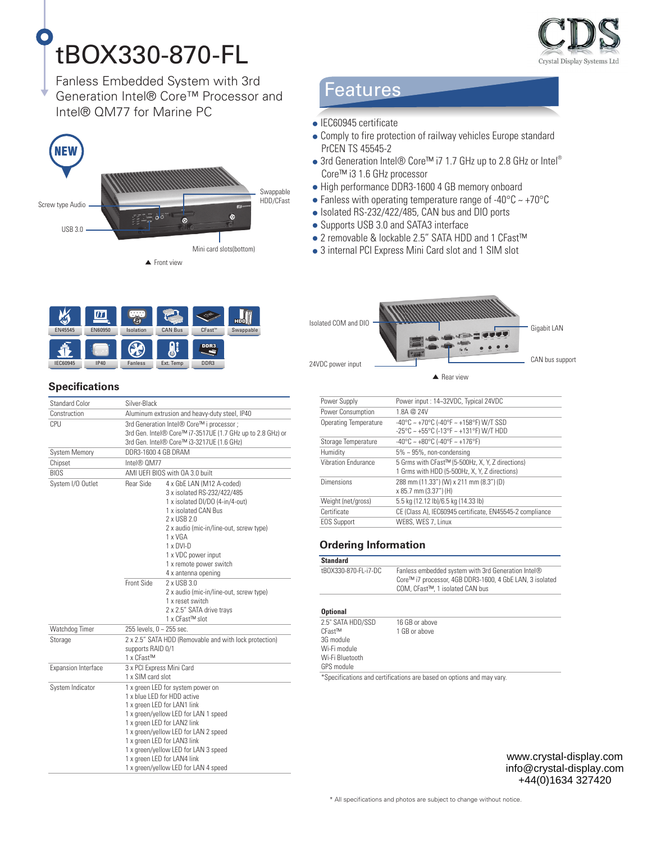# tBOX330-870-FL

Crystal Display Systems Lto

Fanless Embedded System with 3rd Generation Intel® Core™ Processor and Intel® QM77 for Marine PC





#### **Specifications**

| <b>Standard Color</b>      | Silver-Black                                                                                                                                                                                                                                                                                                                                                  |  |
|----------------------------|---------------------------------------------------------------------------------------------------------------------------------------------------------------------------------------------------------------------------------------------------------------------------------------------------------------------------------------------------------------|--|
| Construction               | Aluminum extrusion and heavy-duty steel, IP40                                                                                                                                                                                                                                                                                                                 |  |
| CPU                        | 3rd Generation Intel® Core™ i processor :<br>3rd Gen. Intel® Core™ i7-3517UE (1.7 GHz up to 2.8 GHz) or<br>3rd Gen. Intel® Core™ i3-3217UE (1.6 GHz)                                                                                                                                                                                                          |  |
| <b>System Memory</b>       | DDR3-1600 4 GB DRAM                                                                                                                                                                                                                                                                                                                                           |  |
| Chipset                    | Intel® 0M77                                                                                                                                                                                                                                                                                                                                                   |  |
| <b>BIOS</b>                | AMI UEFI BIOS with OA 3.0 built                                                                                                                                                                                                                                                                                                                               |  |
| System I/O Outlet          | Rear Side<br>4 x GbE LAN (M12 A-coded)<br>3 x isolated RS-232/422/485<br>1 x isolated DI/DO (4-in/4-out)<br>1 x isolated CAN Bus<br>2 x USB 2.0<br>2 x audio (mic-in/line-out, screw type)<br>1 x VGA<br>$1 \times DVI-D$<br>1 x VDC power input<br>1 x remote power switch<br>4 x antenna opening                                                            |  |
|                            | Front Side<br>2 x USB 3.0<br>2 x audio (mic-in/line-out, screw type)<br>1 x reset switch<br>2 x 2.5" SATA drive trays<br>1 x CFast™ slot                                                                                                                                                                                                                      |  |
| Watchdog Timer             | 255 levels, 0 ~ 255 sec.                                                                                                                                                                                                                                                                                                                                      |  |
| Storage                    | 2 x 2.5" SATA HDD (Removable and with lock protection)<br>supports RAID 0/1<br>1 x CFast™                                                                                                                                                                                                                                                                     |  |
| <b>Expansion Interface</b> | 3 x PCI Express Mini Card<br>1 x SIM card slot                                                                                                                                                                                                                                                                                                                |  |
| System Indicator           | 1 x green LED for system power on<br>1 x blue I FD for HDD active<br>1 x green LED for LAN1 link<br>1 x green/yellow LED for LAN 1 speed<br>1 x green LED for LAN2 link<br>1 x green/yellow LED for LAN 2 speed<br>1 x green LED for LAN3 link<br>1 x green/yellow LED for LAN 3 speed<br>1 x green LED for LAN4 link<br>1 x green/yellow LED for LAN 4 speed |  |

## **Features**

- 
- Comply to fire protection of railway vehicles Europe standard PrCEN TS 45545-2
- 3rd Generation Intel® Core™ i7 1.7 GHz up to 2.8 GHz or Intel® Core™ i3 1.6 GHz processor
- High performance DDR3-1600 4 GB memory onboard
- Fanless with operating temperature range of -40 $\degree$ C ~ +70 $\degree$ C
- Isolated RS-232/422/485, CAN bus and DIO ports
- Supports USB 3.0 and SATA3 interface
- 2 removable & lockable 2.5" SATA HDD and 1 CFast™
- 3 internal PCI Express Mini Card slot and 1 SIM slot

Isolated COM and DIO Gigabit LAN 24VDC power input **CAN bus support** CAN bus support

 $\triangle$  Rear view

| Power Supply               | Power input: 14~32VDC, Typical 24VDC                                                              |
|----------------------------|---------------------------------------------------------------------------------------------------|
| Power Consumption          | 1.8A @ 24V                                                                                        |
| Operating Temperature      | $-40\degree$ C ~ $+70\degree$ C ( $-40\degree$ F ~ $+158\degree$ F) W/T SSD                       |
|                            | $-25^{\circ}$ C ~ $+55^{\circ}$ C ( $-13^{\circ}$ F ~ $+131^{\circ}$ F) W/T HDD                   |
| Storage Temperature        | $-40^{\circ}$ C ~ $+80^{\circ}$ C (-40°F ~ $+176^{\circ}$ F)                                      |
| Humidity                   | $5\% \sim 95\%$ , non-condensing                                                                  |
| <b>Vibration Endurance</b> | 5 Grms with CFast™ (5-500Hz, X, Y, Z directions)<br>1 Grms with HDD (5-500Hz, X, Y, Z directions) |
| Dimensions                 | 288 mm (11.33") (W) x 211 mm (8.3") (D)<br>x 85.7 mm (3.37") (H)                                  |
| Weight (net/gross)         | 5.5 kg (12.12 lb)/6.5 kg (14.33 lb)                                                               |
| Certificate                | CE (Class A), IEC60945 certificate, EN45545-2 compliance                                          |
| <b>EOS Support</b>         | WE8S, WES 7, Linux                                                                                |

#### **Ordering Information**

| Standard             |                                                                                                                                                   |
|----------------------|---------------------------------------------------------------------------------------------------------------------------------------------------|
| tB0X330-870-FL-i7-DC | Fanless embedded system with 3rd Generation Intel®<br>Core™ i7 processor, 4GB DDR3-1600, 4 GbE LAN, 3 isolated<br>COM. CFast™. 1 isolated CAN bus |

#### **Optional**

| 2.5" SATA HDD/SSD | 16 GB or above                                                        |
|-------------------|-----------------------------------------------------------------------|
| $CFast^{TM}$      | 1 GB or above                                                         |
| 3G module         |                                                                       |
| Wi-Fi module      |                                                                       |
| Wi-Fi Bluetooth   |                                                                       |
| GPS module        |                                                                       |
|                   | *Specifications and certifications are based on options and may vary. |

www.crystal-display.com info@crystal-display.com +44(0)1634 327420